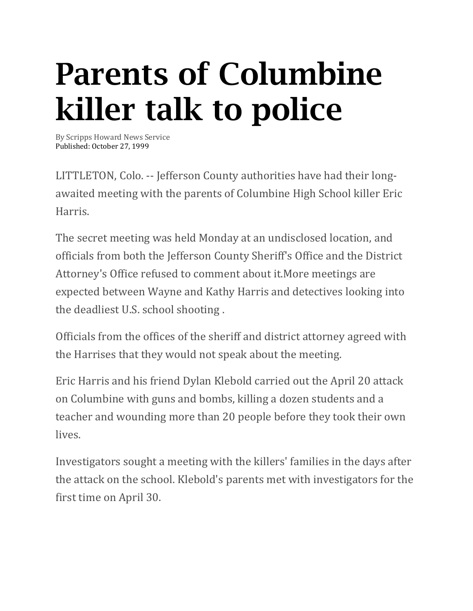## Parents of Columbine killer talk to police

By Scripps Howard News Service Published: October 27, 1999

LITTLETON, Colo. -- Jefferson County authorities have had their longawaited meeting with the parents of Columbine High School killer Eric Harris.

The secret meeting was held Monday at an undisclosed location, and officials from both the Jefferson County Sheriff's Office and the District Attorney's Office refused to comment about it.More meetings are expected between Wayne and Kathy Harris and detectives looking into the deadliest U.S. school shooting .

Officials from the offices of the sheriff and district attorney agreed with the Harrises that they would not speak about the meeting.

Eric Harris and his friend Dylan Klebold carried out the April 20 attack on Columbine with guns and bombs, killing a dozen students and a teacher and wounding more than 20 people before they took their own lives.

Investigators sought a meeting with the killers' families in the days after the attack on the school. Klebold's parents met with investigators for the first time on April 30.